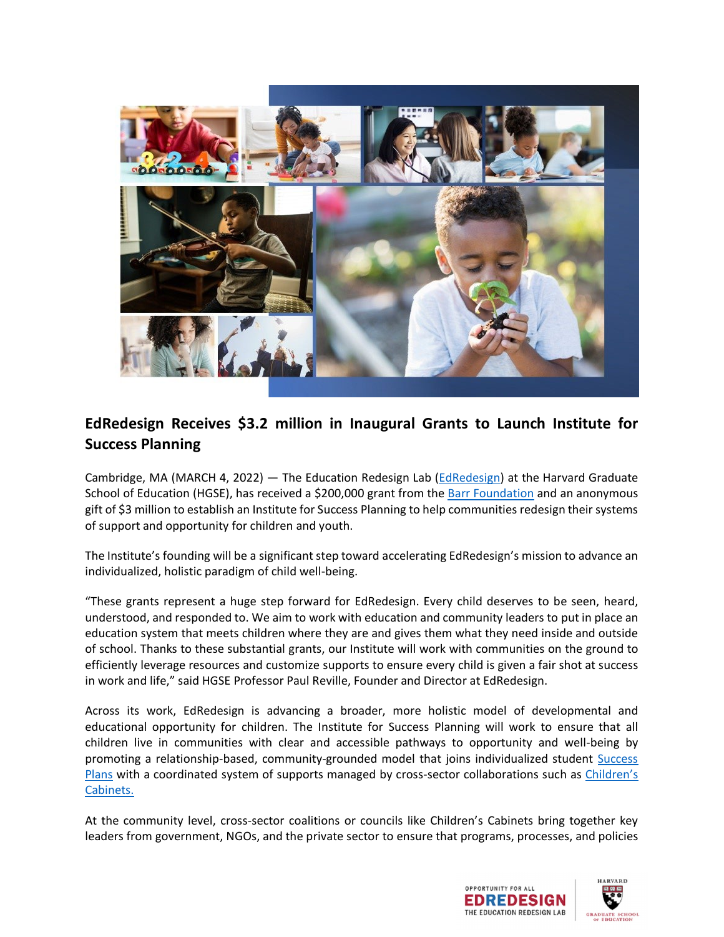

## **EdRedesign Receives \$3.2 million in Inaugural Grants to Launch Institute for Success Planning**

Cambridge, MA (MARCH 4, 2022) — The Education Redesign Lab [\(EdRedesign\)](https://edredesign.org/home) at the Harvard Graduate School of Education (HGSE), has received a \$200,000 grant from the [Barr Foundation](https://www.barrfoundation.org/) and an anonymous gift of \$3 million to establish an Institute for Success Planning to help communities redesign their systems of support and opportunity for children and youth.

The Institute's founding will be a significant step toward accelerating EdRedesign's mission to advance an individualized, holistic paradigm of child well-being.

"These grants represent a huge step forward for EdRedesign. Every child deserves to be seen, heard, understood, and responded to. We aim to work with education and community leaders to put in place an education system that meets children where they are and gives them what they need inside and outside of school. Thanks to these substantial grants, our Institute will work with communities on the ground to efficiently leverage resources and customize supports to ensure every child is given a fair shot at success in work and life," said HGSE Professor Paul Reville, Founder and Director at EdRedesign.

Across its work, EdRedesign is advancing a broader, more holistic model of developmental and educational opportunity for children. The Institute for Success Planning will work to ensure that all children live in communities with clear and accessible pathways to opportunity and well-being by promoting a relationship-based, community-grounded model that joins individualized student Success [Plans](https://edredesign.org/success-planning) with a coordinated system of supports managed by cross-sector collaborations such as Children's [Cabinets.](https://edredesign.org/childrens-cabinets)

At the community level, cross-sector coalitions or councils like Children's Cabinets bring together key leaders from government, NGOs, and the private sector to ensure that programs, processes, and policies